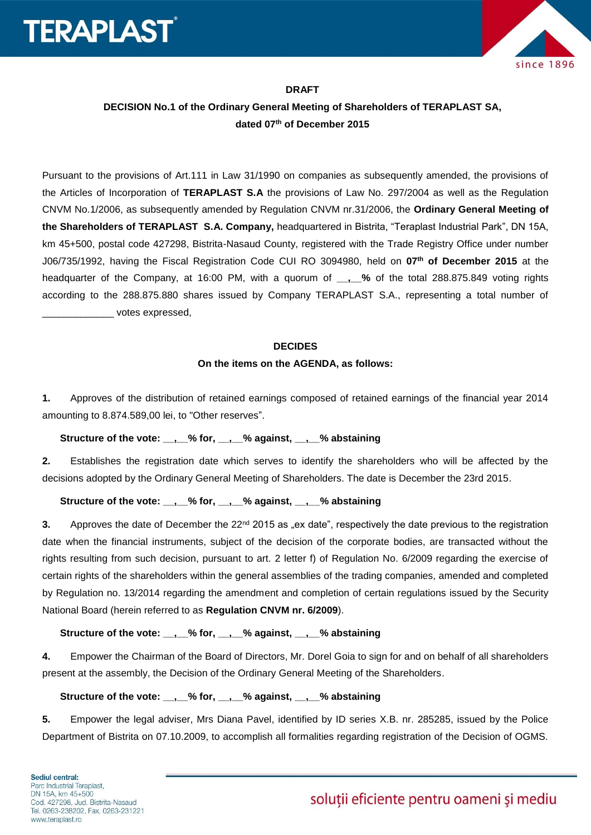



#### **DRAFT**

# **DECISION No.1 of the Ordinary General Meeting of Shareholders of TERAPLAST SA, dated 07th of December 2015**

Pursuant to the provisions of Art.111 in Law 31/1990 on companies as subsequently amended, the provisions of the Articles of Incorporation of **TERAPLAST S.A** the provisions of Law No. 297/2004 as well as the Regulation CNVM No.1/2006, as subsequently amended by Regulation CNVM nr.31/2006, the **Ordinary General Meeting of the Shareholders of TERAPLAST S.A. Company,** headquartered in Bistrita, "Teraplast Industrial Park", DN 15A, km 45+500, postal code 427298, Bistrita-Nasaud County, registered with the Trade Registry Office under number J06/735/1992, having the Fiscal Registration Code CUI RO 3094980, held on **07 th of December 2015** at the headquarter of the Company, at 16:00 PM, with a quorum of **\_\_,\_\_%** of the total 288.875.849 voting rights according to the 288.875.880 shares issued by Company TERAPLAST S.A., representing a total number of \_\_\_\_\_\_\_\_\_\_\_\_\_ votes expressed,

#### **DECIDES**

### **On the items on the AGENDA, as follows:**

**1.** Approves of the distribution of retained earnings composed of retained earnings of the financial year 2014 amounting to 8.874.589,00 lei, to "Other reserves".

### **Structure of the vote: \_\_,\_\_% for, \_\_,\_\_% against, \_\_,\_\_% abstaining**

**2.** Establishes the registration date which serves to identify the shareholders who will be affected by the decisions adopted by the Ordinary General Meeting of Shareholders. The date is December the 23rd 2015.

### **Structure of the vote: \_\_,\_\_% for, \_\_,\_\_% against, \_\_,\_\_% abstaining**

**3.** Approves the date of December the 22<sup>nd</sup> 2015 as "ex date", respectively the date previous to the registration date when the financial instruments, subject of the decision of the corporate bodies, are transacted without the rights resulting from such decision, pursuant to art. 2 letter f) of Regulation No. 6/2009 regarding the exercise of certain rights of the shareholders within the general assemblies of the trading companies, amended and completed by Regulation no. 13/2014 regarding the amendment and completion of certain regulations issued by the Security National Board (herein referred to as **Regulation CNVM nr. 6/2009**).

# **Structure of the vote: \_\_,\_\_% for, \_\_,\_\_% against, \_\_,\_\_% abstaining**

**4.** Empower the Chairman of the Board of Directors, Mr. Dorel Goia to sign for and on behalf of all shareholders present at the assembly, the Decision of the Ordinary General Meeting of the Shareholders.

# **Structure of the vote: \_\_,\_\_% for, \_\_,\_\_% against, \_\_,\_\_% abstaining**

**5.** Empower the legal adviser, Mrs Diana Pavel, identified by ID series X.B. nr. 285285, issued by the Police Department of Bistrita on 07.10.2009, to accomplish all formalities regarding registration of the Decision of OGMS.